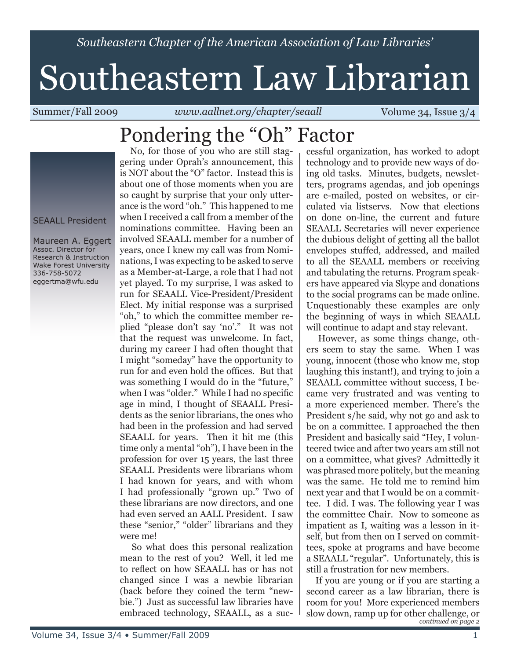*Southeastern Chapter of the American Association of Law Libraries'*

# Southeastern Law Librarian

Summer/Fall 2009 *www.aallnet.org/chapter/seaall* Volume 34, Issue 3/4

# Pondering the "Oh" Factor

SEAALL President

Maureen A. Eggert Assoc. Director for Research & Instruction Wake Forest University 336-758-5072 eggertma@wfu.edu

 No, for those of you who are still staggering under Oprah's announcement, this is NOT about the "O" factor. Instead this is about one of those moments when you are so caught by surprise that your only utterance is the word "oh." This happened to me when I received a call from a member of the nominations committee. Having been an involved SEAALL member for a number of years, once I knew my call was from Nominations, I was expecting to be asked to serve as a Member-at-Large, a role that I had not yet played. To my surprise, I was asked to run for SEAALL Vice-President/President Elect. My initial response was a surprised "oh," to which the committee member replied "please don't say 'no'." It was not that the request was unwelcome. In fact, during my career I had often thought that I might "someday" have the opportunity to run for and even hold the offices. But that was something I would do in the "future," when I was "older." While I had no specific age in mind, I thought of SEAALL Presidents as the senior librarians, the ones who had been in the profession and had served SEAALL for years. Then it hit me (this time only a mental "oh"), I have been in the profession for over 15 years, the last three SEAALL Presidents were librarians whom I had known for years, and with whom I had professionally "grown up." Two of these librarians are now directors, and one had even served an AALL President. I saw these "senior," "older" librarians and they were me!

 So what does this personal realization mean to the rest of you? Well, it led me to reflect on how SEAALL has or has not changed since I was a newbie librarian (back before they coined the term "newbie.") Just as successful law libraries have embraced technology, SEAALL, as a suc-

cessful organization, has worked to adopt technology and to provide new ways of doing old tasks. Minutes, budgets, newsletters, programs agendas, and job openings are e-mailed, posted on websites, or circulated via listservs. Now that elections on done on-line, the current and future SEAALL Secretaries will never experience the dubious delight of getting all the ballot envelopes stuffed, addressed, and mailed to all the SEAALL members or receiving and tabulating the returns. Program speakers have appeared via Skype and donations to the social programs can be made online. Unquestionably these examples are only the beginning of ways in which SEAALL will continue to adapt and stay relevant.

 However, as some things change, others seem to stay the same. When I was young, innocent (those who know me, stop laughing this instant!), and trying to join a SEAALL committee without success, I became very frustrated and was venting to a more experienced member. There's the President s/he said, why not go and ask to be on a committee. I approached the then President and basically said "Hey, I volunteered twice and after two years am still not on a committee, what gives? Admittedly it was phrased more politely, but the meaning was the same. He told me to remind him next year and that I would be on a committee. I did. I was. The following year I was the committee Chair. Now to someone as impatient as I, waiting was a lesson in itself, but from then on I served on committees, spoke at programs and have become a SEAALL "regular". Unfortunately, this is still a frustration for new members.

*continued on page 2* If you are young or if you are starting a second career as a law librarian, there is room for you! More experienced members slow down, ramp up for other challenge, or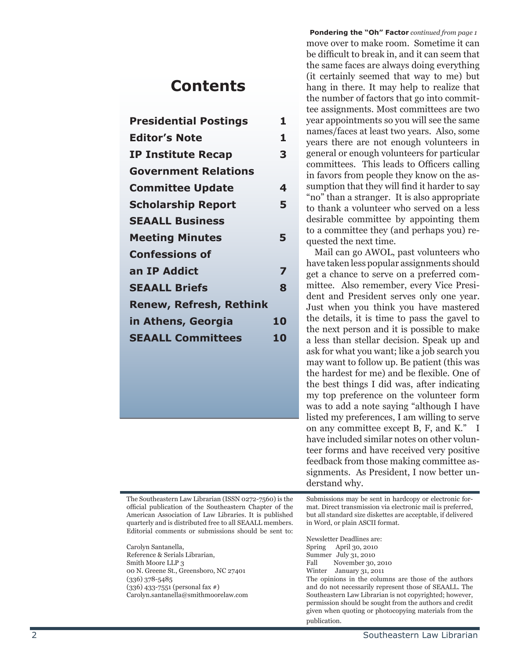### **Contents**

| <b>Presidential Postings</b>   | 1  |
|--------------------------------|----|
| <b>Editor's Note</b>           | 1  |
| <b>IP Institute Recap</b>      | З  |
| <b>Government Relations</b>    |    |
| <b>Committee Update</b>        | 4  |
| <b>Scholarship Report</b>      | 5  |
| <b>SEAALL Business</b>         |    |
| <b>Meeting Minutes</b>         | 5  |
| <b>Confessions of</b>          |    |
| an IP Addict                   | 7  |
| <b>SEAALL Briefs</b>           | 8  |
| <b>Renew, Refresh, Rethink</b> |    |
| in Athens, Georgia             | 10 |
| <b>SEAALL Committees</b>       | 10 |
|                                |    |
|                                |    |

The Southeastern Law Librarian (ISSN 0272-7560) is the official publication of the Southeastern Chapter of the American Association of Law Libraries. It is published quarterly and is distributed free to all SEAALL members. Editorial comments or submissions should be sent to:

Carolyn Santanella, Reference & Serials Librarian, Smith Moore LLP 3 00 N. Greene St., Greensboro, NC 27401 (336) 378-5485 (336) 433-7551 (personal fax #) Carolyn.santanella@smithmoorelaw.com

**Pondering the "Oh" Factor** *continued from page 1* move over to make room. Sometime it can be difficult to break in, and it can seem that the same faces are always doing everything (it certainly seemed that way to me) but hang in there. It may help to realize that the number of factors that go into commit tee assignments. Most committees are two year appointments so you will see the same names/faces at least two years. Also, some years there are not enough volunteers in general or enough volunteers for particular committees. This leads to Officers calling in favors from people they know on the as sumption that they will find it harder to say "no" than a stranger. It is also appropriate to thank a volunteer who served on a less desirable committee by appointing them to a committee they (and perhaps you) re quested the next time.

 Mail can go AWOL, past volunteers who have taken less popular assignments should get a chance to serve on a preferred com mittee. Also remember, every Vice Presi dent and President serves only one year. Just when you think you have mastered the details, it is time to pass the gavel to the next person and it is possible to make a less than stellar decision. Speak up and ask for what you want; like a job search you may want to follow up. Be patient (this was the hardest for me) and be flexible. One of the best things I did was, after indicating my top preference on the volunteer form was to add a note saying "although I have listed my preferences, I am willing to serve on any committee except B, F, and K." I have included similar notes on other volun teer forms and have received very positive feedback from those making committee as signments. As President, I now better un derstand why.

Submissions may be sent in hardcopy or electronic for mat. Direct transmission via electronic mail is preferred, but all standard size diskettes are acceptable, if delivered in Word, or plain ASCII format.

Newsletter Deadlines are: Spring April 30, 2010 Summer July 31, 2010<br>Fall November 30, November 30, 2010 Winter January 31, 2011 The opinions in the columns are those of the authors and do not necessarily represent those of SEAALL. The Southeastern Law Librarian is not copyrighted; however, permission should be sought from the authors and credit given when quoting or photocopying materials from the publication.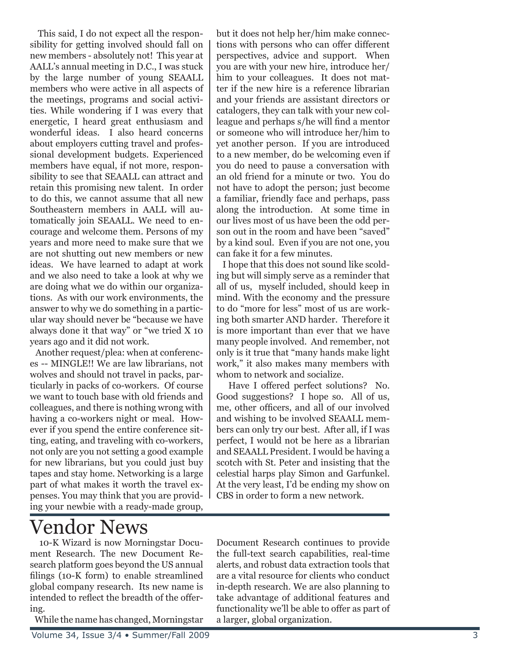This said, I do not expect all the responsibility for getting involved should fall on new members - absolutely not! This year at AALL's annual meeting in D.C., I was stuck by the large number of young SEAALL members who were active in all aspects of the meetings, programs and social activities. While wondering if I was every that energetic, I heard great enthusiasm and wonderful ideas. I also heard concerns about employers cutting travel and professional development budgets. Experienced members have equal, if not more, responsibility to see that SEAALL can attract and retain this promising new talent. In order to do this, we cannot assume that all new Southeastern members in AALL will automatically join SEAALL. We need to encourage and welcome them. Persons of my years and more need to make sure that we are not shutting out new members or new ideas. We have learned to adapt at work and we also need to take a look at why we are doing what we do within our organizations. As with our work environments, the answer to why we do something in a particular way should never be "because we have always done it that way" or "we tried X 10 years ago and it did not work.

 Another request/plea: when at conferences -- MINGLE!! We are law librarians, not wolves and should not travel in packs, particularly in packs of co-workers. Of course we want to touch base with old friends and colleagues, and there is nothing wrong with having a co-workers night or meal. However if you spend the entire conference sitting, eating, and traveling with co-workers, not only are you not setting a good example for new librarians, but you could just buy tapes and stay home. Networking is a large part of what makes it worth the travel expenses. You may think that you are providing your newbie with a ready-made group,

but it does not help her/him make connections with persons who can offer different perspectives, advice and support. When you are with your new hire, introduce her/ him to your colleagues. It does not matter if the new hire is a reference librarian and your friends are assistant directors or catalogers, they can talk with your new colleague and perhaps s/he will find a mentor or someone who will introduce her/him to yet another person. If you are introduced to a new member, do be welcoming even if you do need to pause a conversation with an old friend for a minute or two. You do not have to adopt the person; just become a familiar, friendly face and perhaps, pass along the introduction. At some time in our lives most of us have been the odd person out in the room and have been "saved" by a kind soul. Even if you are not one, you can fake it for a few minutes.

 I hope that this does not sound like scolding but will simply serve as a reminder that all of us, myself included, should keep in mind. With the economy and the pressure to do "more for less" most of us are working both smarter AND harder. Therefore it is more important than ever that we have many people involved. And remember, not only is it true that "many hands make light work," it also makes many members with whom to network and socialize.

 Have I offered perfect solutions? No. Good suggestions? I hope so. All of us, me, other officers, and all of our involved and wishing to be involved SEAALL members can only try our best. After all, if I was perfect, I would not be here as a librarian and SEAALL President. I would be having a scotch with St. Peter and insisting that the celestial harps play Simon and Garfunkel. At the very least, I'd be ending my show on CBS in order to form a new network.

# Vendor News

 10-K Wizard is now Morningstar Document Research. The new Document Research platform goes beyond the US annual filings (10-K form) to enable streamlined global company research. Its new name is intended to reflect the breadth of the offering.

While the name has changed, Morningstar

Document Research continues to provide the full-text search capabilities, real-time alerts, and robust data extraction tools that are a vital resource for clients who conduct in-depth research. We are also planning to take advantage of additional features and functionality we'll be able to offer as part of a larger, global organization.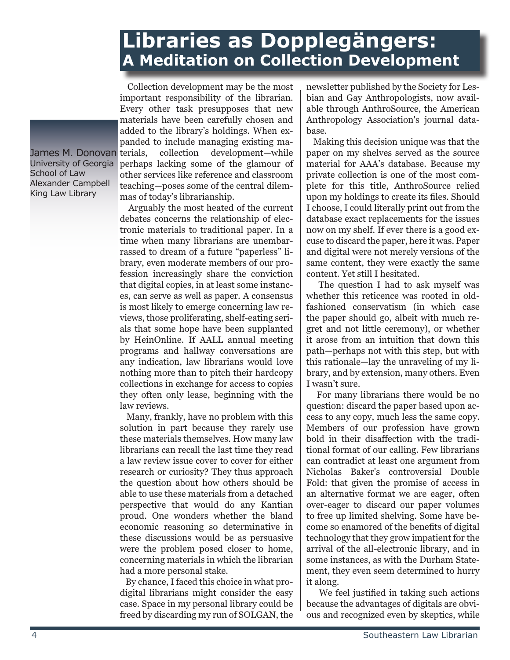### **Libraries as Dopplegängers: A Meditation on Collection Development**

James M. Donovan terials, University of Georgia School of Law Alexander Campbell King Law Library

 Collection development may be the most important responsibility of the librarian. Every other task presupposes that new materials have been carefully chosen and added to the library's holdings. When expanded to include managing existing macollection development—while perhaps lacking some of the glamour of other services like reference and classroom teaching—poses some of the central dilemmas of today's librarianship.

 Arguably the most heated of the current debates concerns the relationship of electronic materials to traditional paper. In a time when many librarians are unembarrassed to dream of a future "paperless" library, even moderate members of our profession increasingly share the conviction that digital copies, in at least some instances, can serve as well as paper. A consensus is most likely to emerge concerning law reviews, those proliferating, shelf-eating serials that some hope have been supplanted by HeinOnline. If AALL annual meeting programs and hallway conversations are any indication, law librarians would love nothing more than to pitch their hardcopy collections in exchange for access to copies they often only lease, beginning with the law reviews.

 Many, frankly, have no problem with this solution in part because they rarely use these materials themselves. How many law librarians can recall the last time they read a law review issue cover to cover for either research or curiosity? They thus approach the question about how others should be able to use these materials from a detached perspective that would do any Kantian proud. One wonders whether the bland economic reasoning so determinative in these discussions would be as persuasive were the problem posed closer to home, concerning materials in which the librarian had a more personal stake.

 By chance, I faced this choice in what prodigital librarians might consider the easy case. Space in my personal library could be freed by discarding my run of SOLGAN, the

newsletter published by the Society for Lesbian and Gay Anthropologists, now available through AnthroSource, the American Anthropology Association's journal database.

 Making this decision unique was that the paper on my shelves served as the source material for AAA's database. Because my private collection is one of the most complete for this title, AnthroSource relied upon my holdings to create its files. Should I choose, I could literally print out from the database exact replacements for the issues now on my shelf. If ever there is a good excuse to discard the paper, here it was. Paper and digital were not merely versions of the same content, they were exactly the same content. Yet still I hesitated.

 The question I had to ask myself was whether this reticence was rooted in oldfashioned conservatism (in which case the paper should go, albeit with much regret and not little ceremony), or whether it arose from an intuition that down this path—perhaps not with this step, but with this rationale—lay the unraveling of my library, and by extension, many others. Even I wasn't sure.

 For many librarians there would be no question: discard the paper based upon access to any copy, much less the same copy. Members of our profession have grown bold in their disaffection with the traditional format of our calling. Few librarians can contradict at least one argument from Nicholas Baker's controversial Double Fold: that given the promise of access in an alternative format we are eager, often over-eager to discard our paper volumes to free up limited shelving. Some have become so enamored of the benefits of digital technology that they grow impatient for the arrival of the all-electronic library, and in some instances, as with the Durham Statement, they even seem determined to hurry it along.

 We feel justified in taking such actions because the advantages of digitals are obvious and recognized even by skeptics, while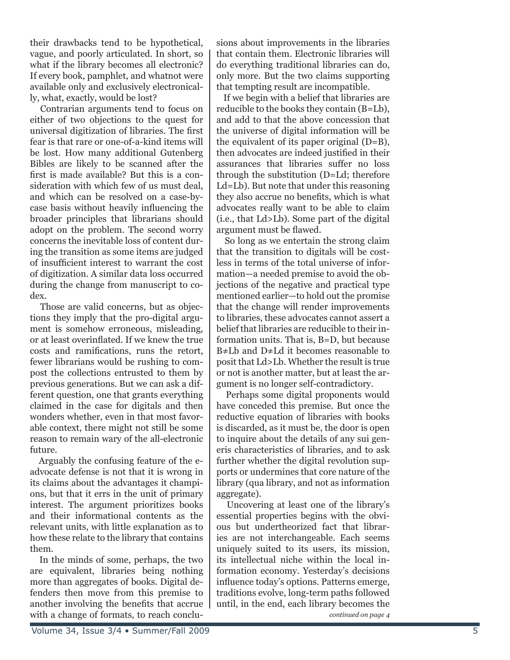their drawbacks tend to be hypothetical, vague, and poorly articulated. In short, so what if the library becomes all electronic? If every book, pamphlet, and whatnot were available only and exclusively electronically, what, exactly, would be lost?

 Contrarian arguments tend to focus on either of two objections to the quest for universal digitization of libraries. The first fear is that rare or one-of-a-kind items will be lost. How many additional Gutenberg Bibles are likely to be scanned after the first is made available? But this is a consideration with which few of us must deal, and which can be resolved on a case-bycase basis without heavily influencing the broader principles that librarians should adopt on the problem. The second worry concerns the inevitable loss of content during the transition as some items are judged of insufficient interest to warrant the cost of digitization. A similar data loss occurred during the change from manuscript to codex.

 Those are valid concerns, but as objections they imply that the pro-digital argument is somehow erroneous, misleading, or at least overinflated. If we knew the true costs and ramifications, runs the retort, fewer librarians would be rushing to compost the collections entrusted to them by previous generations. But we can ask a different question, one that grants everything claimed in the case for digitals and then wonders whether, even in that most favorable context, there might not still be some reason to remain wary of the all-electronic future.

 Arguably the confusing feature of the eadvocate defense is not that it is wrong in its claims about the advantages it champions, but that it errs in the unit of primary interest. The argument prioritizes books and their informational contents as the relevant units, with little explanation as to how these relate to the library that contains them.

 In the minds of some, perhaps, the two are equivalent, libraries being nothing more than aggregates of books. Digital defenders then move from this premise to another involving the benefits that accrue with a change of formats, to reach conclusions about improvements in the libraries that contain them. Electronic libraries will do everything traditional libraries can do, only more. But the two claims supporting that tempting result are incompatible.

 If we begin with a belief that libraries are reducible to the books they contain (B=Lb), and add to that the above concession that the universe of digital information will be the equivalent of its paper original (D=B), then advocates are indeed justified in their assurances that libraries suffer no loss through the substitution (D=Ld; therefore Ld=Lb). But note that under this reasoning they also accrue no benefits, which is what advocates really want to be able to claim (i.e., that Ld>Lb). Some part of the digital argument must be flawed.

 So long as we entertain the strong claim that the transition to digitals will be costless in terms of the total universe of information—a needed premise to avoid the objections of the negative and practical type mentioned earlier—to hold out the promise that the change will render improvements to libraries, these advocates cannot assert a belief that libraries are reducible to their information units. That is, B=D, but because B≠Lb and D≠Ld it becomes reasonable to posit that Ld>Lb. Whether the result is true or not is another matter, but at least the argument is no longer self-contradictory.

 Perhaps some digital proponents would have conceded this premise. But once the reductive equation of libraries with books is discarded, as it must be, the door is open to inquire about the details of any sui generis characteristics of libraries, and to ask further whether the digital revolution supports or undermines that core nature of the library (qua library, and not as information aggregate).

*continued on page 4* Uncovering at least one of the library's essential properties begins with the obvious but undertheorized fact that libraries are not interchangeable. Each seems uniquely suited to its users, its mission, its intellectual niche within the local information economy. Yesterday's decisions influence today's options. Patterns emerge, traditions evolve, long-term paths followed until, in the end, each library becomes the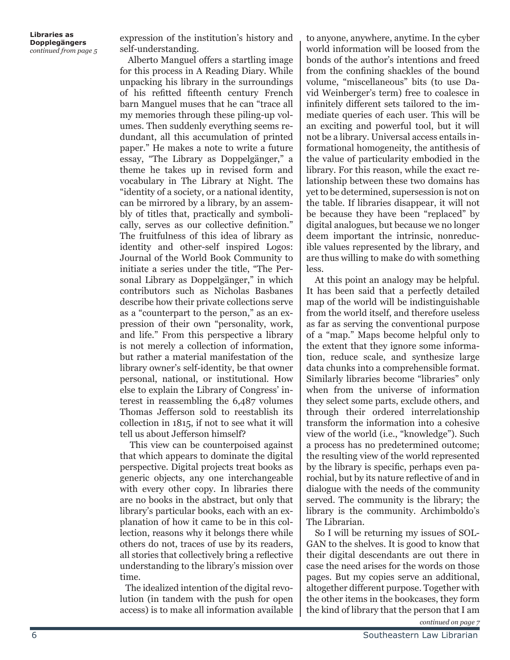**Libraries as Dopplegängers** *continued from page 5*

expression of the institution's history and self-understanding.

 Alberto Manguel offers a startling image for this process in A Reading Diary. While unpacking his library in the surroundings of his refitted fifteenth century French barn Manguel muses that he can "trace all my memories through these piling-up volumes. Then suddenly everything seems redundant, all this accumulation of printed paper." He makes a note to write a future essay, "The Library as Doppelgänger," a theme he takes up in revised form and vocabulary in The Library at Night. The "identity of a society, or a national identity, can be mirrored by a library, by an assembly of titles that, practically and symbolically, serves as our collective definition." The fruitfulness of this idea of library as identity and other-self inspired Logos: Journal of the World Book Community to initiate a series under the title, "The Personal Library as Doppelgänger," in which contributors such as Nicholas Basbanes describe how their private collections serve as a "counterpart to the person," as an expression of their own "personality, work, and life." From this perspective a library is not merely a collection of information, but rather a material manifestation of the library owner's self-identity, be that owner personal, national, or institutional. How else to explain the Library of Congress' interest in reassembling the 6,487 volumes Thomas Jefferson sold to reestablish its collection in 1815, if not to see what it will tell us about Jefferson himself?

 This view can be counterpoised against that which appears to dominate the digital perspective. Digital projects treat books as generic objects, any one interchangeable with every other copy. In libraries there are no books in the abstract, but only that library's particular books, each with an explanation of how it came to be in this collection, reasons why it belongs there while others do not, traces of use by its readers, all stories that collectively bring a reflective understanding to the library's mission over time.

 The idealized intention of the digital revolution (in tandem with the push for open access) is to make all information available

to anyone, anywhere, anytime. In the cyber world information will be loosed from the bonds of the author's intentions and freed from the confining shackles of the bound volume, "miscellaneous" bits (to use David Weinberger's term) free to coalesce in infinitely different sets tailored to the immediate queries of each user. This will be an exciting and powerful tool, but it will not be a library. Universal access entails informational homogeneity, the antithesis of the value of particularity embodied in the library. For this reason, while the exact relationship between these two domains has yet to be determined, supersession is not on the table. If libraries disappear, it will not be because they have been "replaced" by digital analogues, but because we no longer deem important the intrinsic, nonreducible values represented by the library, and are thus willing to make do with something less.

 At this point an analogy may be helpful. It has been said that a perfectly detailed map of the world will be indistinguishable from the world itself, and therefore useless as far as serving the conventional purpose of a "map." Maps become helpful only to the extent that they ignore some information, reduce scale, and synthesize large data chunks into a comprehensible format. Similarly libraries become "libraries" only when from the universe of information they select some parts, exclude others, and through their ordered interrelationship transform the information into a cohesive view of the world (i.e., "knowledge"). Such a process has no predetermined outcome; the resulting view of the world represented by the library is specific, perhaps even parochial, but by its nature reflective of and in dialogue with the needs of the community served. The community is the library; the library is the community. Archimboldo's The Librarian.

 So I will be returning my issues of SOL-GAN to the shelves. It is good to know that their digital descendants are out there in case the need arises for the words on those pages. But my copies serve an additional, altogether different purpose. Together with the other items in the bookcases, they form the kind of library that the person that I am

*continued on page 7*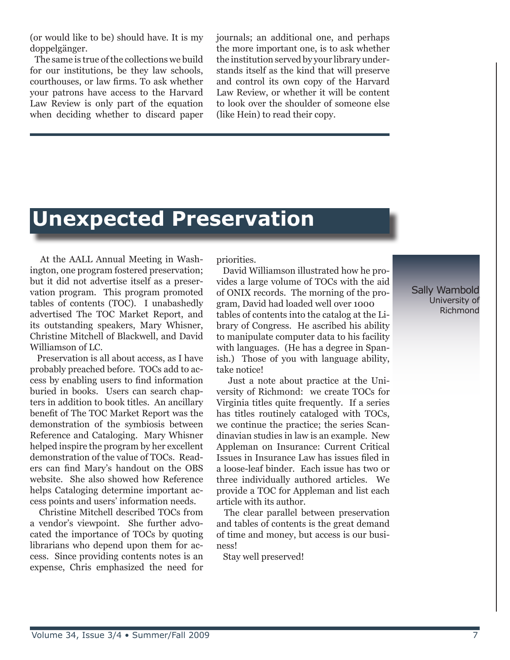(or would like to be) should have. It is my doppelgänger.

 The same is true of the collections we build for our institutions, be they law schools, courthouses, or law firms. To ask whether your patrons have access to the Harvard Law Review is only part of the equation when deciding whether to discard paper journals; an additional one, and perhaps the more important one, is to ask whether the institution served by your library understands itself as the kind that will preserve and control its own copy of the Harvard Law Review, or whether it will be content to look over the shoulder of someone else (like Hein) to read their copy.

# **Unexpected Preservation**

 At the AALL Annual Meeting in Washington, one program fostered preservation; but it did not advertise itself as a preservation program. This program promoted tables of contents (TOC). I unabashedly advertised The TOC Market Report, and its outstanding speakers, Mary Whisner, Christine Mitchell of Blackwell, and David Williamson of LC.

 Preservation is all about access, as I have probably preached before. TOCs add to access by enabling users to find information buried in books. Users can search chapters in addition to book titles. An ancillary benefit of The TOC Market Report was the demonstration of the symbiosis between Reference and Cataloging. Mary Whisner helped inspire the program by her excellent demonstration of the value of TOCs. Readers can find Mary's handout on the OBS website. She also showed how Reference helps Cataloging determine important access points and users' information needs.

 Christine Mitchell described TOCs from a vendor's viewpoint. She further advocated the importance of TOCs by quoting librarians who depend upon them for access. Since providing contents notes is an expense, Chris emphasized the need for priorities.

 David Williamson illustrated how he provides a large volume of TOCs with the aid of ONIX records. The morning of the program, David had loaded well over 1000 tables of contents into the catalog at the Library of Congress. He ascribed his ability to manipulate computer data to his facility with languages. (He has a degree in Spanish.) Those of you with language ability, take notice!

 Just a note about practice at the University of Richmond: we create TOCs for Virginia titles quite frequently. If a series has titles routinely cataloged with TOCs, we continue the practice; the series Scandinavian studies in law is an example. New Appleman on Insurance: Current Critical Issues in Insurance Law has issues filed in a loose-leaf binder. Each issue has two or three individually authored articles. We provide a TOC for Appleman and list each article with its author.

 The clear parallel between preservation and tables of contents is the great demand of time and money, but access is our business!

Stay well preserved!

Sally Wambold University of Richmond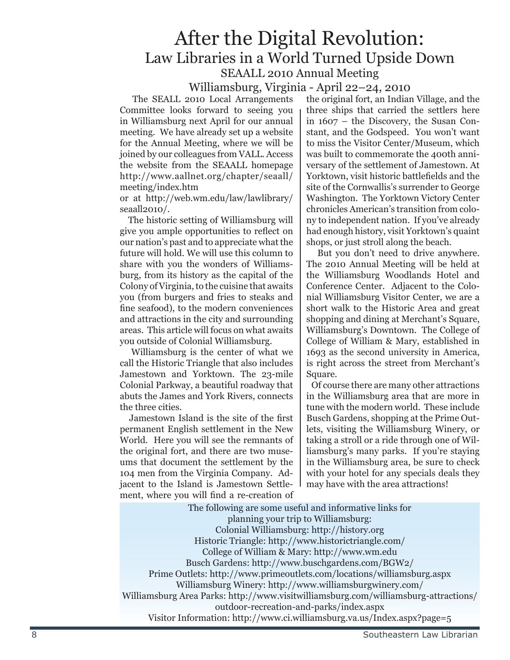### After the Digital Revolution: Law Libraries in a World Turned Upside Down SEAALL 2010 Annual Meeting

#### Williamsburg, Virginia - April 22–24, 2010

 The SEALL 2010 Local Arrangements Committee looks forward to seeing you in Williamsburg next April for our annual meeting. We have already set up a website for the Annual Meeting, where we will be joined by our colleagues from VALL. Access the website from the SEAALL homepage http://www.aallnet.org/chapter/seaall/ meeting/index.htm

or at http://web.wm.edu/law/lawlibrary/ seaall2010/.

 The historic setting of Williamsburg will give you ample opportunities to reflect on our nation's past and to appreciate what the future will hold. We will use this column to share with you the wonders of Williamsburg, from its history as the capital of the Colony of Virginia, to the cuisine that awaits you (from burgers and fries to steaks and fine seafood), to the modern conveniences and attractions in the city and surrounding areas. This article will focus on what awaits you outside of Colonial Williamsburg.

 Williamsburg is the center of what we call the Historic Triangle that also includes Jamestown and Yorktown. The 23-mile Colonial Parkway, a beautiful roadway that abuts the James and York Rivers, connects the three cities.

 Jamestown Island is the site of the first permanent English settlement in the New World. Here you will see the remnants of the original fort, and there are two museums that document the settlement by the 104 men from the Virginia Company. Adjacent to the Island is Jamestown Settlement, where you will find a re-creation of

the original fort, an Indian Village, and the three ships that carried the settlers here in 1607 – the Discovery, the Susan Constant, and the Godspeed. You won't want to miss the Visitor Center/Museum, which was built to commemorate the 400th anniversary of the settlement of Jamestown. At Yorktown, visit historic battlefields and the site of the Cornwallis's surrender to George Washington. The Yorktown Victory Center chronicles American's transition from colony to independent nation. If you've already had enough history, visit Yorktown's quaint shops, or just stroll along the beach.

 But you don't need to drive anywhere. The 2010 Annual Meeting will be held at the Williamsburg Woodlands Hotel and Conference Center. Adjacent to the Colonial Williamsburg Visitor Center, we are a short walk to the Historic Area and great shopping and dining at Merchant's Square, Williamsburg's Downtown. The College of College of William & Mary, established in 1693 as the second university in America, is right across the street from Merchant's Square.

 Of course there are many other attractions in the Williamsburg area that are more in tune with the modern world. These include Busch Gardens, shopping at the Prime Outlets, visiting the Williamsburg Winery, or taking a stroll or a ride through one of Williamsburg's many parks. If you're staying in the Williamsburg area, be sure to check with your hotel for any specials deals they may have with the area attractions!

The following are some useful and informative links for planning your trip to Williamsburg: Colonial Williamsburg: http://history.org Historic Triangle: http://www.historictriangle.com/ College of William & Mary: http://www.wm.edu Busch Gardens: http://www.buschgardens.com/BGW2/ Prime Outlets: http://www.primeoutlets.com/locations/williamsburg.aspx Williamsburg Winery: http://www.williamsburgwinery.com/ Williamsburg Area Parks: http://www.visitwilliamsburg.com/williamsburg-attractions/ outdoor-recreation-and-parks/index.aspx Visitor Information: http://www.ci.williamsburg.va.us/Index.aspx?page=5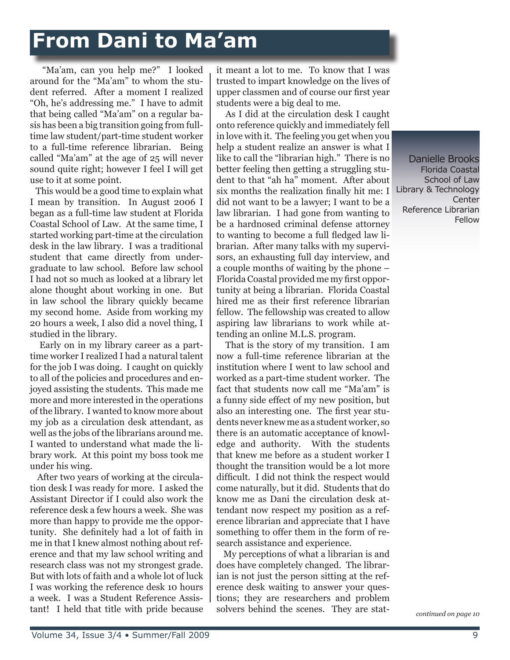# **From Dani to Ma'am**

 "Ma'am, can you help me?" I looked around for the "Ma'am" to whom the student referred. After a moment I realized "Oh, he's addressing me." I have to admit that being called "Ma'am" on a regular basis has been a big transition going from fulltime law student/part-time student worker to a full-time reference librarian. Being called "Ma'am" at the age of 25 will never sound quite right; however I feel I will get use to it at some point.

 This would be a good time to explain what I mean by transition. In August 2006 I began as a full-time law student at Florida Coastal School of Law. At the same time, I started working part-time at the circulation desk in the law library. I was a traditional student that came directly from undergraduate to law school. Before law school I had not so much as looked at a library let alone thought about working in one. But in law school the library quickly became my second home. Aside from working my 20 hours a week, I also did a novel thing, I studied in the library.

 Early on in my library career as a parttime worker I realized I had a natural talent for the job I was doing. I caught on quickly to all of the policies and procedures and enjoyed assisting the students. This made me more and more interested in the operations of the library. I wanted to know more about my job as a circulation desk attendant, as well as the jobs of the librarians around me. I wanted to understand what made the library work. At this point my boss took me under his wing.

 After two years of working at the circulation desk I was ready for more. I asked the Assistant Director if I could also work the reference desk a few hours a week. She was more than happy to provide me the opportunity. She definitely had a lot of faith in me in that I knew almost nothing about reference and that my law school writing and research class was not my strongest grade. But with lots of faith and a whole lot of luck I was working the reference desk 10 hours a week. I was a Student Reference Assistant! I held that title with pride because it meant a lot to me. To know that I was trusted to impart knowledge on the lives of upper classmen and of course our first year students were a big deal to me.

 As I did at the circulation desk I caught onto reference quickly and immediately fell in love with it. The feeling you get when you help a student realize an answer is what I like to call the "librarian high." There is no better feeling then getting a struggling student to that "ah ha" moment. After about six months the realization finally hit me: I did not want to be a lawyer; I want to be a law librarian. I had gone from wanting to be a hardnosed criminal defense attorney to wanting to become a full fledged law librarian. After many talks with my supervisors, an exhausting full day interview, and a couple months of waiting by the phone – Florida Coastal provided me my first opportunity at being a librarian. Florida Coastal hired me as their first reference librarian fellow. The fellowship was created to allow aspiring law librarians to work while attending an online M.L.S. program.

 That is the story of my transition. I am now a full-time reference librarian at the institution where I went to law school and worked as a part-time student worker. The fact that students now call me "Ma'am" is a funny side effect of my new position, but also an interesting one. The first year students never knew me as a student worker, so there is an automatic acceptance of knowledge and authority. With the students that knew me before as a student worker I thought the transition would be a lot more difficult. I did not think the respect would come naturally, but it did. Students that do know me as Dani the circulation desk attendant now respect my position as a reference librarian and appreciate that I have something to offer them in the form of research assistance and experience.

 My perceptions of what a librarian is and does have completely changed. The librarian is not just the person sitting at the reference desk waiting to answer your questions; they are researchers and problem solvers behind the scenes. They are stat-

Danielle Brooks Florida Coastal School of Law Library & Technology **Center** Reference Librarian Fellow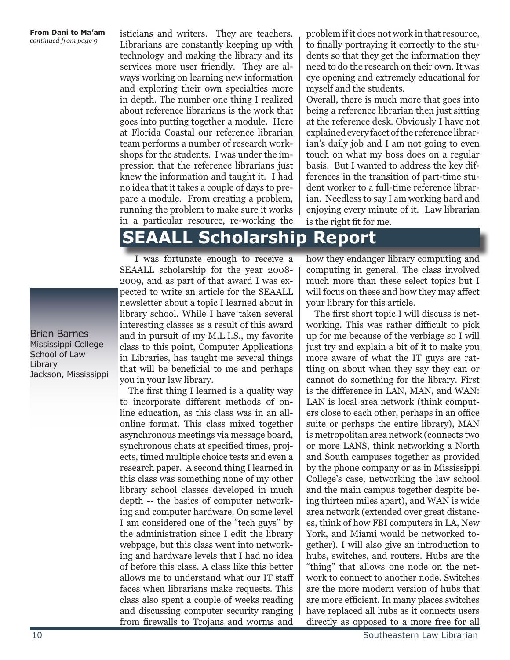#### **From Dani to Ma'am** *continued from page 9*

isticians and writers. They are teachers. Librarians are constantly keeping up with technology and making the library and its services more user friendly. They are always working on learning new information and exploring their own specialties more in depth. The number one thing I realized about reference librarians is the work that goes into putting together a module. Here at Florida Coastal our reference librarian team performs a number of research workshops for the students. I was under the impression that the reference librarians just knew the information and taught it. I had no idea that it takes a couple of days to prepare a module. From creating a problem, running the problem to make sure it works in a particular resource, re-working the

problem if it does not work in that resource, to finally portraying it correctly to the students so that they get the information they need to do the research on their own. It was eye opening and extremely educational for myself and the students.

Overall, there is much more that goes into being a reference librarian then just sitting at the reference desk. Obviously I have not explained every facet of the reference librarian's daily job and I am not going to even touch on what my boss does on a regular basis. But I wanted to address the key differences in the transition of part-time student worker to a full-time reference librarian. Needless to say I am working hard and enjoying every minute of it. Law librarian is the right fit for me.

### **SEAALL Scholarship Report**

 I was fortunate enough to receive a SEAALL scholarship for the year 2008- 2009, and as part of that award I was expected to write an article for the SEAALL newsletter about a topic I learned about in library school. While I have taken several interesting classes as a result of this award and in pursuit of my M.L.I.S., my favorite class to this point, Computer Applications in Libraries, has taught me several things that will be beneficial to me and perhaps you in your law library.

 The first thing I learned is a quality way to incorporate different methods of online education, as this class was in an allonline format. This class mixed together asynchronous meetings via message board, synchronous chats at specified times, projects, timed multiple choice tests and even a research paper. A second thing I learned in this class was something none of my other library school classes developed in much depth -- the basics of computer networking and computer hardware. On some level I am considered one of the "tech guys" by the administration since I edit the library webpage, but this class went into networking and hardware levels that I had no idea of before this class. A class like this better allows me to understand what our IT staff faces when librarians make requests. This class also spent a couple of weeks reading and discussing computer security ranging from firewalls to Trojans and worms and

how they endanger library computing and computing in general. The class involved much more than these select topics but I will focus on these and how they may affect your library for this article.

 The first short topic I will discuss is networking. This was rather difficult to pick up for me because of the verbiage so I will just try and explain a bit of it to make you more aware of what the IT guys are rattling on about when they say they can or cannot do something for the library. First is the difference in LAN, MAN, and WAN: LAN is local area network (think computers close to each other, perhaps in an office suite or perhaps the entire library), MAN is metropolitan area network (connects two or more LANS, think networking a North and South campuses together as provided by the phone company or as in Mississippi College's case, networking the law school and the main campus together despite being thirteen miles apart), and WAN is wide area network (extended over great distances, think of how FBI computers in LA, New York, and Miami would be networked together). I will also give an introduction to hubs, switches, and routers. Hubs are the "thing" that allows one node on the network to connect to another node. Switches are the more modern version of hubs that are more efficient. In many places switches have replaced all hubs as it connects users directly as opposed to a more free for all

Brian Barnes Mississippi College School of Law Library Jackson, Mississippi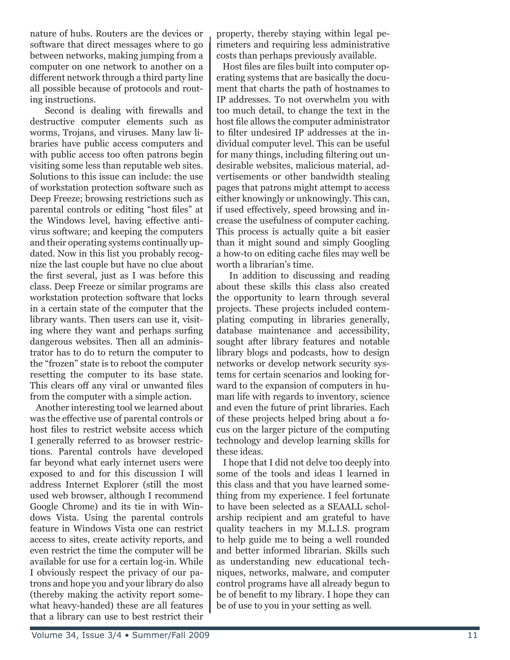nature of hubs. Routers are the devices or software that direct messages where to go between networks, making jumping from a computer on one network to another on a different network through a third party line all possible because of protocols and routing instructions.

 Second is dealing with firewalls and destructive computer elements such as worms, Trojans, and viruses. Many law libraries have public access computers and with public access too often patrons begin visiting some less than reputable web sites. Solutions to this issue can include: the use of workstation protection software such as Deep Freeze; browsing restrictions such as parental controls or editing "host files" at the Windows level, having effective antivirus software; and keeping the computers and their operating systems continually updated. Now in this list you probably recognize the last couple but have no clue about the first several, just as I was before this class. Deep Freeze or similar programs are workstation protection software that locks in a certain state of the computer that the library wants. Then users can use it, visiting where they want and perhaps surfing dangerous websites. Then all an administrator has to do to return the computer to the "frozen" state is to reboot the computer resetting the computer to its base state. This clears off any viral or unwanted files from the computer with a simple action.

 Another interesting tool we learned about was the effective use of parental controls or host files to restrict website access which I generally referred to as browser restrictions. Parental controls have developed far beyond what early internet users were exposed to and for this discussion I will address Internet Explorer (still the most used web browser, although I recommend Google Chrome) and its tie in with Windows Vista. Using the parental controls feature in Windows Vista one can restrict access to sites, create activity reports, and even restrict the time the computer will be available for use for a certain log-in. While I obviously respect the privacy of our patrons and hope you and your library do also (thereby making the activity report somewhat heavy-handed) these are all features that a library can use to best restrict their

property, thereby staying within legal perimeters and requiring less administrative costs than perhaps previously available.

 Host files are files built into computer operating systems that are basically the document that charts the path of hostnames to IP addresses. To not overwhelm you with too much detail, to change the text in the host file allows the computer administrator to filter undesired IP addresses at the individual computer level. This can be useful for many things, including filtering out undesirable websites, malicious material, advertisements or other bandwidth stealing pages that patrons might attempt to access either knowingly or unknowingly. This can, if used effectively, speed browsing and increase the usefulness of computer caching. This process is actually quite a bit easier than it might sound and simply Googling a how-to on editing cache files may well be worth a librarian's time.

 In addition to discussing and reading about these skills this class also created the opportunity to learn through several projects. These projects included contemplating computing in libraries generally, database maintenance and accessibility, sought after library features and notable library blogs and podcasts, how to design networks or develop network security systems for certain scenarios and looking forward to the expansion of computers in human life with regards to inventory, science and even the future of print libraries. Each of these projects helped bring about a focus on the larger picture of the computing technology and develop learning skills for these ideas.

 I hope that I did not delve too deeply into some of the tools and ideas I learned in this class and that you have learned something from my experience. I feel fortunate to have been selected as a SEAALL scholarship recipient and am grateful to have quality teachers in my M.L.I.S. program to help guide me to being a well rounded and better informed librarian. Skills such as understanding new educational techniques, networks, malware, and computer control programs have all already begun to be of benefit to my library. I hope they can be of use to you in your setting as well.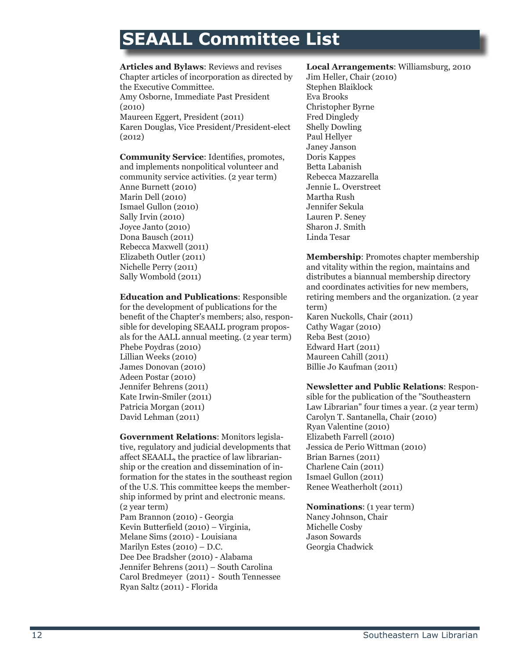### **SEAALL Committee List**

#### **Articles and Bylaws**: Reviews and revises Chapter articles of incorporation as directed by the Executive Committee. Amy Osborne, Immediate Past President (2010) Maureen Eggert, President (2011) Karen Douglas, Vice President/President-elect (2012)

**Community Service**: Identifies, promotes, and implements nonpolitical volunteer and community service activities. (2 year term) Anne Burnett (2010) Marin Dell (2010) Ismael Gullon (2010) Sally Irvin (2010) Joyce Janto (2010) Dona Bausch (2011) Rebecca Maxwell (2011) Elizabeth Outler (2011) Nichelle Perry (2011) Sally Wombold (2011)

**Education and Publications**: Responsible for the development of publications for the benefit of the Chapter's members; also, responsible for developing SEAALL program proposals for the AALL annual meeting. (2 year term) Phebe Poydras (2010) Lillian Weeks (2010) James Donovan (2010) Adeen Postar (2010) Jennifer Behrens (2011) Kate Irwin-Smiler (2011) Patricia Morgan (2011) David Lehman (2011)

**Government Relations**: Monitors legislative, regulatory and judicial developments that affect SEAALL, the practice of law librarianship or the creation and dissemination of information for the states in the southeast region of the U.S. This committee keeps the membership informed by print and electronic means. (2 year term) Pam Brannon (2010) - Georgia Kevin Butterfield (2010) – Virginia, Melane Sims (2010) - Louisiana Marilyn Estes (2010) – D.C. Dee Dee Bradsher (2010) - Alabama Jennifer Behrens (2011) – South Carolina Carol Bredmeyer (2011) - South Tennessee Ryan Saltz (2011) - Florida

#### **Local Arrangements**: Williamsburg, 2010

Jim Heller, Chair (2010) Stephen Blaiklock Eva Brooks Christopher Byrne Fred Dingledy Shelly Dowling Paul Hellyer Janey Janson Doris Kappes Betta Labanish Rebecca Mazzarella Jennie L. Overstreet Martha Rush Jennifer Sekula Lauren P. Seney Sharon J. Smith Linda Tesar

**Membership**: Promotes chapter membership and vitality within the region, maintains and distributes a biannual membership directory and coordinates activities for new members, retiring members and the organization. (2 year term) Karen Nuckolls, Chair (2011) Cathy Wagar (2010) Reba Best (2010) Edward Hart (2011) Maureen Cahill (2011) Billie Jo Kaufman (2011)

**Newsletter and Public Relations**: Respon-

sible for the publication of the "Southeastern Law Librarian" four times a year. (2 year term) Carolyn T. Santanella, Chair (2010) Ryan Valentine (2010) Elizabeth Farrell (2010) Jessica de Perio Wittman (2010) Brian Barnes (2011) Charlene Cain (2011) Ismael Gullon (2011) Renee Weatherholt (2011)

**Nominations**: (1 year term) Nancy Johnson, Chair Michelle Cosby Jason Sowards Georgia Chadwick